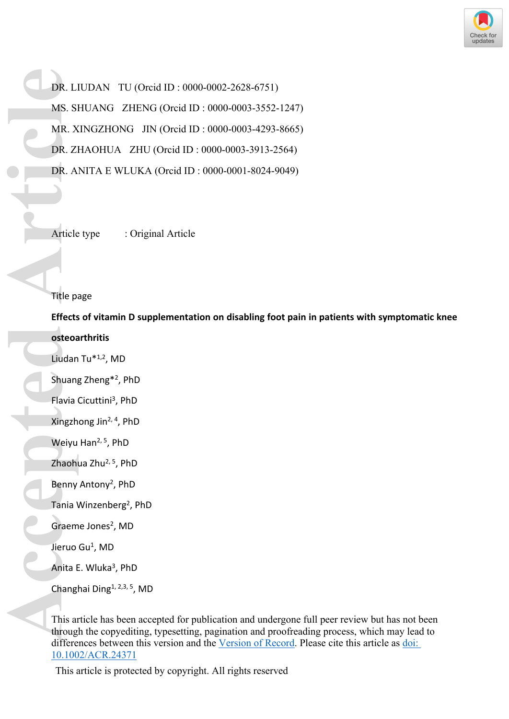

DR. LIUDAN TU (Orcid ID : 0000-0002-2628-6751) MS. SHUANG ZHENG (Orcid ID : 0000-0003-3552-1247) MR. XINGZHONG JIN (Orcid ID : 0000-0003-4293-8665) DR. ZHAOHUA ZHU (Orcid ID : 0000-0003-3913-2564) DR. ANITA E WLUKA (Orcid ID : 0000-0001-8024-9049) **Accepted Article**<br> **Accepted Article**<br> **Accepted Article**<br> **Accepted Article**<br> **Article**<br> **Article**<br> **Article**<br> **Article**<br> **Article**<br> **Article**<br> **Article**<br> **Article**<br> **Article**<br> **Article**<br> **Article**<br> **Article**<br> **Article**<br>

Article type : Original Article

# Title page

**Effects of vitamin D supplementation on disabling foot pain in patients with symptomatic knee osteoarthritis** 

- Liudan Tu\*1,2, MD
- Shuang Zheng\*<sup>2</sup> , PhD
- Flavia Cicuttini<sup>3</sup>, PhD
- Xingzhong Jin2, 4, PhD
- Weiyu Han<sup>2, 5</sup>, PhD
- Zhaohua Zhu2, 5, PhD
- Benny Antony<sup>2</sup>, PhD
- Tania Winzenberg<sup>2</sup>, PhD
- Graeme Jones<sup>2</sup>, MD
- Jieruo Gu<sup>1</sup>, MD
- Anita E. Wluka<sup>3</sup>, PhD
- Changhai Ding1, 2,3, 5, MD

This article has been accepted for publication and undergone full peer review but has not been through the copyediting, typesetting, pagination and proofreading process, which may lead to differences between this version and the [Version of Record.](https://doi.org/10.1002/ACR.24371) Please cite this article as [doi:](https://doi.org/10.1002/ACR.24371)  [10.1002/ACR.24371](https://doi.org/10.1002/ACR.24371)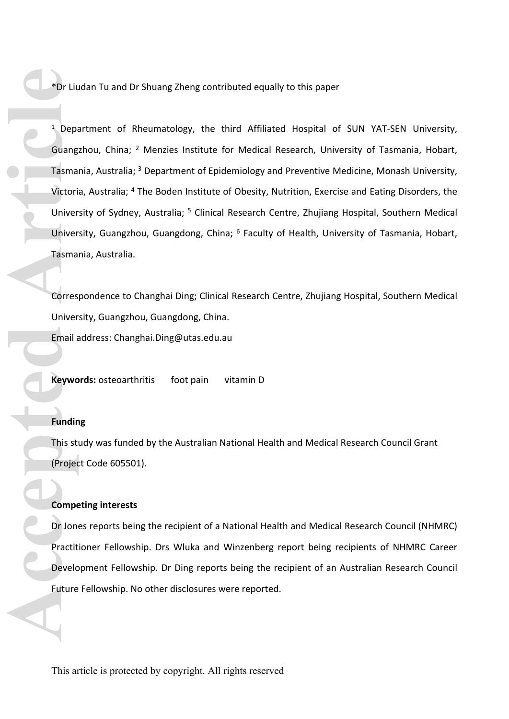\*Dr Liudan Tu and Dr Shuang Zheng contributed equally to this paper

<sup>1</sup> Department of Rheumatology, the third Affiliated Hospital of SUN YAT-SEN University, Guangzhou, China; <sup>2</sup> Menzies Institute for Medical Research, University of Tasmania, Hobart, Tasmania, Australia; <sup>3</sup> Department of Epidemiology and Preventive Medicine, Monash University, Victoria, Australia; <sup>4</sup> The Boden Institute of Obesity, Nutrition, Exercise and Eating Disorders, the University of Sydney, Australia; <sup>5</sup> Clinical Research Centre, Zhujiang Hospital, Southern Medical University, Guangzhou, Guangdong, China; <sup>6</sup> Faculty of Health, University of Tasmania, Hobart, Tasmania, Australia. **Acceptual Strategy Control**<br> **Accept Article**<br> **Accept Article**<br> **Accept Article**<br> **Accept Article**<br> **Accept Article**<br> **Accept Article**<br> **Accept Article**<br> **Accept Article**<br> **Accept Article**<br> **Accept Article**<br> **Accept Arti** 

Correspondence to Changhai Ding; Clinical Research Centre, Zhujiang Hospital, Southern Medical University, Guangzhou, Guangdong, China. Email address: [Changhai.Ding@utas.edu.au](mailto:Changhai.Ding@utas.edu.au)

**Keywords:** osteoarthritis foot pain vitamin D

## **Funding**

This study was funded by the Australian National Health and Medical Research Council Grant (Project Code 605501).

#### **Competing interests**

Dr Jones reports being the recipient of a National Health and Medical Research Council (NHMRC) Practitioner Fellowship. Drs Wluka and Winzenberg report being recipients of NHMRC Career Development Fellowship. Dr Ding reports being the recipient of an Australian Research Council Future Fellowship. No other disclosures were reported.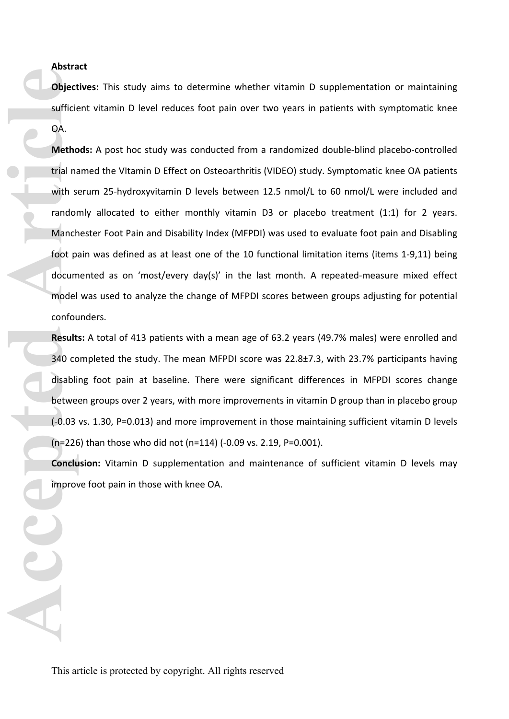## **Abstract**

**Objectives:** This study aims to determine whether vitamin D supplementation or maintaining sufficient vitamin D level reduces foot pain over two years in patients with symptomatic knee OA.

**Methods:** A post hoc study was conducted from a randomized double-blind placebo-controlled trial named the VItamin D Effect on Osteoarthritis (VIDEO) study. Symptomatic knee OA patients with serum 25-hydroxyvitamin D levels between 12.5 nmol/L to 60 nmol/L were included and randomly allocated to either monthly vitamin D3 or placebo treatment (1:1) for 2 years. Manchester Foot Pain and Disability Index (MFPDI) was used to evaluate foot pain and Disabling foot pain was defined as at least one of the 10 functional limitation items (items 1-9,11) being documented as on 'most/every day(s)' in the last month. A repeated-measure mixed effect model was used to analyze the change of MFPDI scores between groups adjusting for potential confounders. **Cace Sufficie**<br> **Accepted Article**<br> **Accepted Article**<br> **Accepted Article**<br> **Accepted Article**<br> **Accepted Article**<br> **Accepted Article**<br> **Accepted Article**<br> **Accepted Article**<br> **Accepted Article**<br> **Accepted Article**<br> **Acce** 

**Results:** A total of 413 patients with a mean age of 63.2 years (49.7% males) were enrolled and 340 completed the study. The mean MFPDI score was 22.8±7.3, with 23.7% participants having disabling foot pain at baseline. There were significant differences in MFPDI scores change between groups over 2 years, with more improvements in vitamin D group than in placebo group (-0.03 vs. 1.30, P=0.013) and more improvement in those maintaining sufficient vitamin D levels (n=226) than those who did not (n=114) (-0.09 vs. 2.19, P=0.001).

**Conclusion:** Vitamin D supplementation and maintenance of sufficient vitamin D levels may improve foot pain in those with knee OA.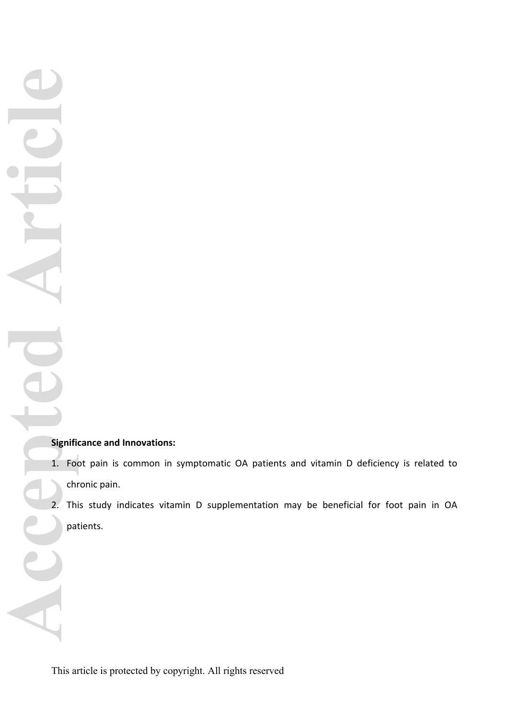Accepted Article

# **Significance and Innovations:**

- 1. Foot pain is common in symptomatic OA patients and vitamin D deficiency is related to chronic pain.
- 2. This study indicates vitamin D supplementation may be beneficial for foot pain in OA patients.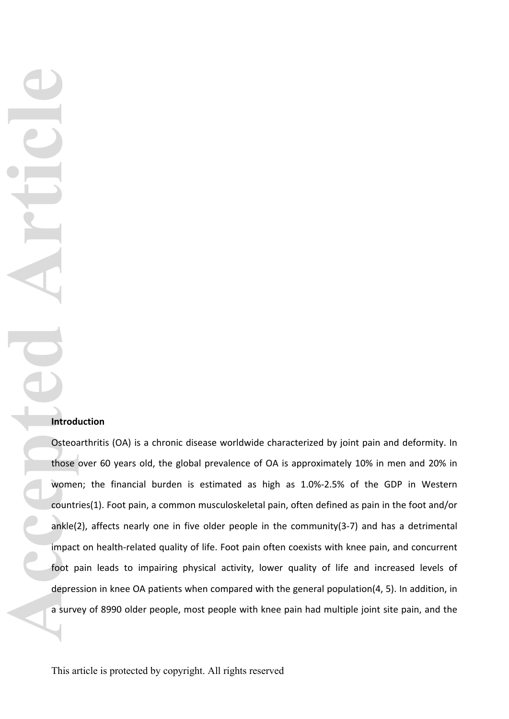**Accepted** Articles Changed Articles

## **Introduction**

Osteoarthritis (OA) is a chronic disease worldwide characterized by joint pain and deformity. In those over 60 years old, the global prevalence of OA is approximately 10% in men and 20% in women; the financial burden is estimated as high as 1.0%-2.5% of the GDP in Western countries(1). Foot pain, a common musculoskeletal pain, often defined as pain in the foot and/or ankle(2), affects nearly one in five older people in the community(3-7) and has a detrimental impact on health-related quality of life. Foot pain often coexists with knee pain, and concurrent foot pain leads to impairing physical activity, lower quality of life and increased levels of depression in knee OA patients when compared with the general population(4, 5). In addition, in a survey of 8990 older people, most people with knee pain had multiple joint site pain, and the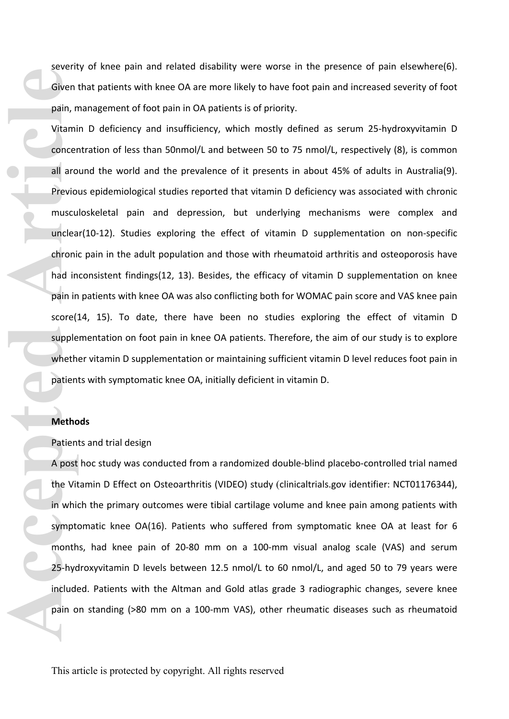severity of knee pain and related disability were worse in the presence of pain elsewhere(6). Given that patients with knee OA are more likely to have foot pain and increased severity of foot pain, management of foot pain in OA patients is of priority.

Vitamin D deficiency and insufficiency, which mostly defined as serum 25-hydroxyvitamin D concentration of less than 50nmol/L and between 50 to 75 nmol/L, respectively (8), is common all around the world and the prevalence of it presents in about 45% of adults in Australia(9). Previous epidemiological studies reported that vitamin D deficiency was associated with chronic musculoskeletal pain and depression, but underlying mechanisms were complex and unclear(10-12). Studies exploring the effect of vitamin D supplementation on non-specific chronic pain in the adult population and those with rheumatoid arthritis and osteoporosis have had inconsistent findings(12, 13). Besides, the efficacy of vitamin D supplementation on knee pain in patients with knee OA was also conflicting both for WOMAC pain score and VAS knee pain score(14, 15). To date, there have been no studies exploring the effect of vitamin D supplementation on foot pain in knee OA patients. Therefore, the aim of our study is to explore whether vitamin D supplementation or maintaining sufficient vitamin D level reduces foot pain in patients with symptomatic knee OA, initially deficient in vitamin D. Given pain, n<br>
vitami<br>
concer<br>
all aro<br>
Previo muscu<br>
unclea<br>
chronic<br>
had in<br>
pain in<br>
score(<br>
supple<br>
wheth<br>
Patien<br>
A post<br>
the Vit<br>
in which<br>
25-hyc<br>
include<br>
pain o<br>
25-hyc

### **Methods**

Patients and trial design

A post hoc study was conducted from a randomized double-blind placebo-controlled trial named the Vitamin D Effect on Osteoarthritis (VIDEO) study (clinicaltrials.gov identifier: NCT01176344), in which the primary outcomes were tibial cartilage volume and knee pain among patients with symptomatic knee OA(16). Patients who suffered from symptomatic knee OA at least for 6 months, had knee pain of 20-80 mm on a 100-mm visual analog scale (VAS) and serum 25-hydroxyvitamin D levels between 12.5 nmol/L to 60 nmol/L, and aged 50 to 79 years were included. Patients with the Altman and Gold atlas grade 3 radiographic changes, severe knee pain on standing (>80 mm on a 100-mm VAS), other rheumatic diseases such as rheumatoid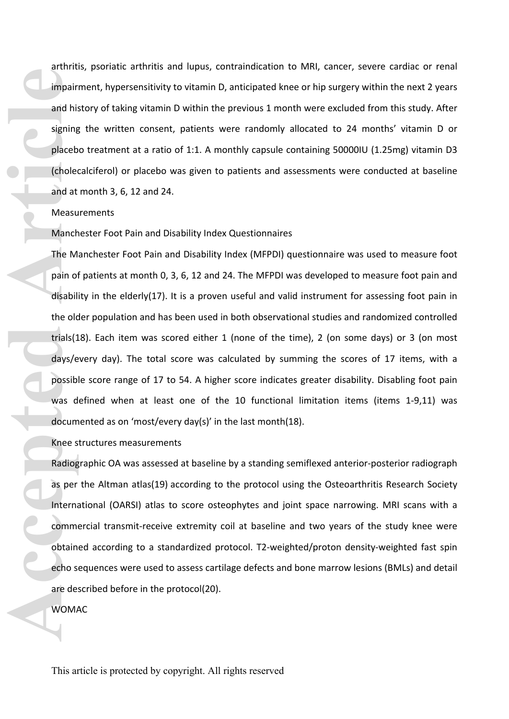arthritis, psoriatic arthritis and lupus, contraindication to MRI, cancer, severe cardiac or renal impairment, hypersensitivity to vitamin D, anticipated knee or hip surgery within the next 2 years and history of taking vitamin D within the previous 1 month were excluded from this study. After signing the written consent, patients were randomly allocated to 24 months' vitamin D or placebo treatment at a ratio of 1:1. A monthly capsule containing 50000IU (1.25mg) vitamin D3 (cholecalciferol) or placebo was given to patients and assessments were conducted at baseline and at month 3, 6, 12 and 24.

## **Measurements**

### Manchester Foot Pain and Disability Index Questionnaires

The Manchester Foot Pain and Disability Index (MFPDI) questionnaire was used to measure foot pain of patients at month 0, 3, 6, 12 and 24. The MFPDI was developed to measure foot pain and disability in the elderly(17). It is a proven useful and valid instrument for assessing foot pain in the older population and has been used in both observational studies and randomized controlled trials(18). Each item was scored either 1 (none of the time), 2 (on some days) or 3 (on most days/every day). The total score was calculated by summing the scores of 17 items, with a possible score range of 17 to 54. A higher score indicates greater disability. Disabling foot pain was defined when at least one of the 10 functional limitation items (items 1-9,11) was documented as on 'most/every day(s)' in the last month(18). **Accessibility and his signing**<br> **Accessibility contains and at Measu Manch The M**<br> **Pain of disability the old trials (1**<br> **Accessibility of disability contains and docum Knee s**<br> **Radiog**<br> **Accessibility and Scree s**<br> **A** 

### Knee structures measurements

Radiographic OA was assessed at baseline by a standing semiflexed anterior-posterior radiograph as per the Altman atlas(19) according to the protocol using the Osteoarthritis Research Society International (OARSI) atlas to score osteophytes and joint space narrowing. MRI scans with a commercial transmit-receive extremity coil at baseline and two years of the study knee were obtained according to a standardized protocol. T2-weighted/proton density-weighted fast spin echo sequences were used to assess cartilage defects and bone marrow lesions (BMLs) and detail are described before in the protocol(20).

WOMAC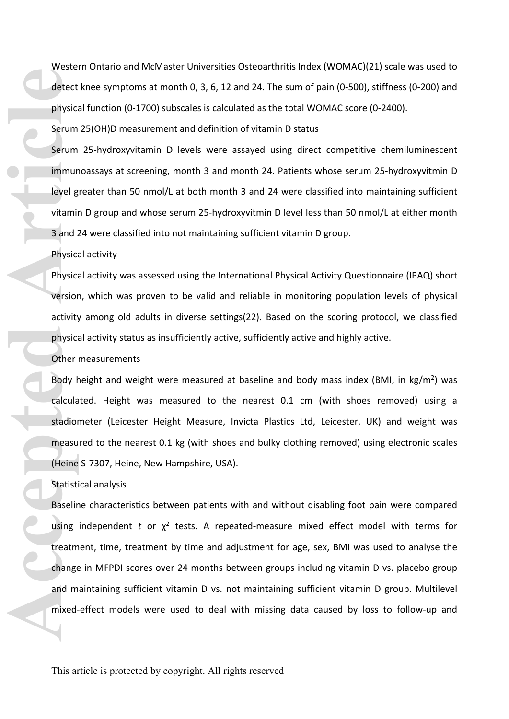Western Ontario and McMaster Universities Osteoarthritis Index (WOMAC)(21) scale was used to detect knee symptoms at month 0, 3, 6, 12 and 24. The sum of pain (0-500), stiffness (0-200) and physical function (0-1700) subscales is calculated as the total WOMAC score (0-2400).

Serum 25(OH)D measurement and definition of vitamin D status

Serum 25-hydroxyvitamin D levels were assayed using direct competitive chemiluminescent immunoassays at screening, month 3 and month 24. Patients whose serum 25-hydroxyvitmin D level greater than 50 nmol/L at both month 3 and 24 were classified into maintaining sufficient vitamin D group and whose serum 25-hydroxyvitmin D level less than 50 nmol/L at either month 3 and 24 were classified into not maintaining sufficient vitamin D group.

Physical activity

Physical activity was assessed using the International Physical Activity Questionnaire (IPAQ) short version, which was proven to be valid and reliable in monitoring population levels of physical activity among old adults in diverse settings(22). Based on the scoring protocol, we classified physical activity status as insufficiently active, sufficiently active and highly active.

Other measurements

Body height and weight were measured at baseline and body mass index (BMI, in kg/m<sup>2</sup>) was calculated. Height was measured to the nearest 0.1 cm (with shoes removed) using a stadiometer (Leicester Height Measure, Invicta Plastics Ltd, Leicester, UK) and weight was measured to the nearest 0.1 kg (with shoes and bulky clothing removed) using electronic scales (Heine S-7307, Heine, New Hampshire, USA).

## Statistical analysis

Baseline characteristics between patients with and without disabling foot pain were compared using independent  $t$  or  $\chi^2$  tests. A repeated-measure mixed effect model with terms for treatment, time, treatment by time and adjustment for age, sex, BMI was used to analyse the change in MFPDI scores over 24 months between groups including vitamin D vs. placebo group and maintaining sufficient vitamin D vs. not maintaining sufficient vitamin D group. Multilevel mixed-effect models were used to deal with missing data caused by loss to follow-up and detect<br>
physic:<br>
Serum<br>
Serum<br>
Immur<br>
level g<br>
vitamii<br>
3 and :<br>
Physic:<br>
Physic:<br>
version<br>
activity<br>
physic:<br>
version<br>
activity<br>
physic:<br>
Other<br>
Body ł<br>
calcula<br>
stadion<br>
measu<br>
(Heine<br>
Statisti<br>
Baselir<br>
using<br>
treatm<br>
c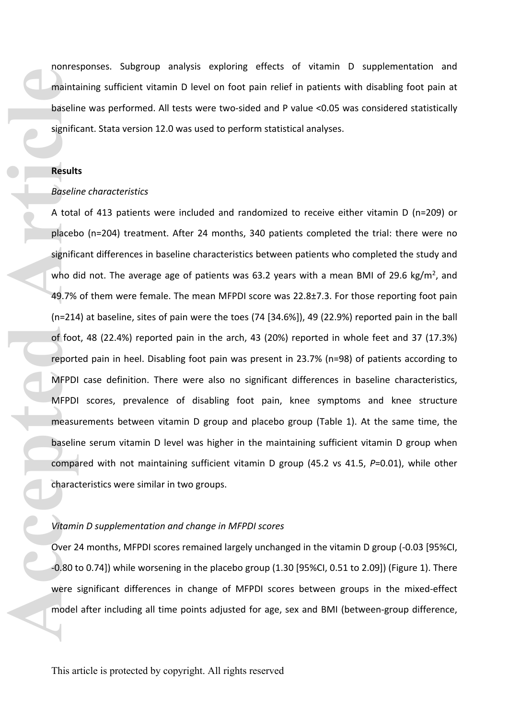nonresponses. Subgroup analysis exploring effects of vitamin D supplementation and maintaining sufficient vitamin D level on foot pain relief in patients with disabling foot pain at baseline was performed. All tests were two-sided and P value <0.05 was considered statistically significant. Stata version 12.0 was used to perform statistical analyses.

## **Results**

#### *Baseline characteristics*

A total of 413 patients were included and randomized to receive either vitamin D (n=209) or placebo (n=204) treatment. After 24 months, 340 patients completed the trial: there were no significant differences in baseline characteristics between patients who completed the study and who did not. The average age of patients was 63.2 years with a mean BMI of 29.6 kg/m<sup>2</sup>, and 49.7% of them were female. The mean MFPDI score was 22.8±7.3. For those reporting foot pain (n=214) at baseline, sites of pain were the toes (74 [34.6%]), 49 (22.9%) reported pain in the ball of foot, 48 (22.4%) reported pain in the arch, 43 (20%) reported in whole feet and 37 (17.3%) reported pain in heel. Disabling foot pain was present in 23.7% (n=98) of patients according to MFPDI case definition. There were also no significant differences in baseline characteristics, MFPDI scores, prevalence of disabling foot pain, knee symptoms and knee structure measurements between vitamin D group and placebo group (Table 1). At the same time, the baseline serum vitamin D level was higher in the maintaining sufficient vitamin D group when compared with not maintaining sufficient vitamin D group (45.2 vs 41.5, *P*=0.01), while other characteristics were similar in two groups. mainta<br>baselir<br>signific<br>Result<br>Baselir<br>A tota<br>placeb<br>signific<br>who d<br>49.7%<br>(n=214<br>of foot<br>report<br>MFPDI<br>measu<br>baselir<br>compa<br>charac baselir<br>compa<br>charact WFPDI<br>measu<br>compa<br>charact with<br>compa<br>charact visible in the place of fo

#### *Vitamin D supplementation and change in MFPDI scores*

Over 24 months, MFPDI scores remained largely unchanged in the vitamin D group (-0.03 [95%CI, -0.80 to 0.74]) while worsening in the placebo group (1.30 [95%CI, 0.51 to 2.09]) (Figure 1). There were significant differences in change of MFPDI scores between groups in the mixed-effect model after including all time points adjusted for age, sex and BMI (between-group difference,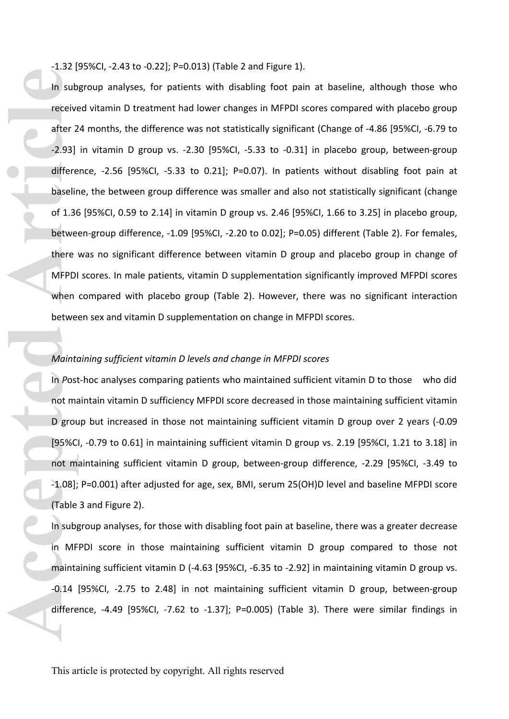-1.32 [95%CI, -2.43 to -0.22]; P=0.013) (Table 2 and Figure 1).

In subgroup analyses, for patients with disabling foot pain at baseline, although those who received vitamin D treatment had lower changes in MFPDI scores compared with placebo group after 24 months, the difference was not statistically significant (Change of -4.86 [95%CI, -6.79 to -2.93] in vitamin D group vs. -2.30 [95%CI, -5.33 to -0.31] in placebo group, between-group difference, -2.56 [95%CI, -5.33 to 0.21]; P=0.07). In patients without disabling foot pain at baseline, the between group difference was smaller and also not statistically significant (change of 1.36 [95%CI, 0.59 to 2.14] in vitamin D group vs. 2.46 [95%CI, 1.66 to 3.25] in placebo group, between-group difference, -1.09 [95%CI, -2.20 to 0.02]; P=0.05) different (Table 2). For females, there was no significant difference between vitamin D group and placebo group in change of MFPDI scores. In male patients, vitamin D supplementation significantly improved MFPDI scores when compared with placebo group (Table 2). However, there was no significant interaction between sex and vitamin D supplementation on change in MFPDI scores. In sub<br>receive<br>after 2<br>-2.93]<br>differe<br>baselir<br>of 1.36<br>betwee<br>there<br>MFPDI<br>when<br>betwee<br>Mainto<br>Mainto<br>In Post<br>not may be grou<br>(95%C<br>not m<br>-1.08];<br>(Table 1.9 grou<br>not may be line in the subject of the subject of the subject<br>no

## *Maintaining sufficient vitamin D levels and change in MFPDI scores*

In *P*ost-hoc analyses comparing patients who maintained sufficient vitamin D to those who did not maintain vitamin D sufficiency MFPDI score decreased in those maintaining sufficient vitamin D group but increased in those not maintaining sufficient vitamin D group over 2 years (-0.09 [95%CI, -0.79 to 0.61] in maintaining sufficient vitamin D group vs. 2.19 [95%CI, 1.21 to 3.18] in not maintaining sufficient vitamin D group, between-group difference, -2.29 [95%CI, -3.49 to -1.08]; P=0.001) after adjusted for age, sex, BMI, serum 25(OH)D level and baseline MFPDI score (Table 3 and Figure 2).

In subgroup analyses, for those with disabling foot pain at baseline, there was a greater decrease in MFPDI score in those maintaining sufficient vitamin D group compared to those not maintaining sufficient vitamin D (-4.63 [95%CI, -6.35 to -2.92] in maintaining vitamin D group vs. -0.14 [95%CI, -2.75 to 2.48] in not maintaining sufficient vitamin D group, between-group difference,  $-4.49$  [95%CI,  $-7.62$  to  $-1.37$ ]; P=0.005) (Table 3). There were similar findings in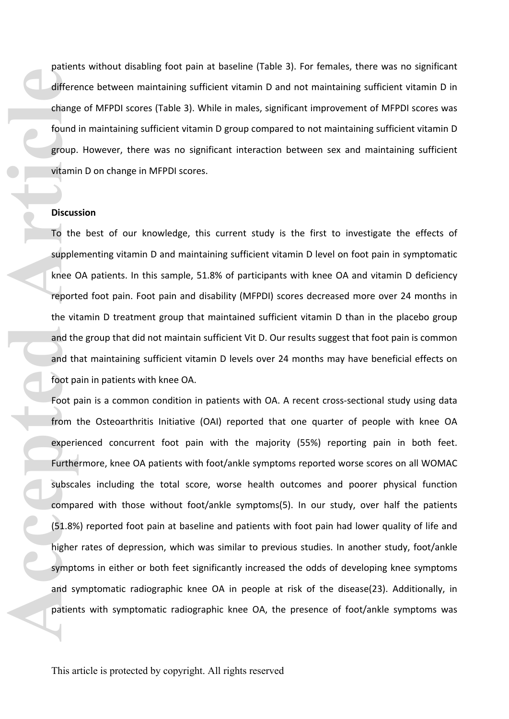patients without disabling foot pain at baseline (Table 3). For females, there was no significant difference between maintaining sufficient vitamin D and not maintaining sufficient vitamin D in change of MFPDI scores (Table 3). While in males, significant improvement of MFPDI scores was found in maintaining sufficient vitamin D group compared to not maintaining sufficient vitamin D group. However, there was no significant interaction between sex and maintaining sufficient vitamin D on change in MFPDI scores.

## **Discussion**

To the best of our knowledge, this current study is the first to investigate the effects of supplementing vitamin D and maintaining sufficient vitamin D level on foot pain in symptomatic knee OA patients. In this sample, 51.8% of participants with knee OA and vitamin D deficiency reported foot pain. Foot pain and disability (MFPDI) scores decreased more over 24 months in the vitamin D treatment group that maintained sufficient vitamin D than in the placebo group and the group that did not maintain sufficient Vit D. Our results suggest that foot pain is common and that maintaining sufficient vitamin D levels over 24 months may have beneficial effects on foot pain in patients with knee OA.

Foot pain is a common condition in patients with OA. A recent cross-sectional study using data from the Osteoarthritis Initiative (OAI) reported that one quarter of people with knee OA experienced concurrent foot pain with the majority (55%) reporting pain in both feet. Furthermore, knee OA patients with foot/ankle symptoms reported worse scores on all WOMAC subscales including the total score, worse health outcomes and poorer physical function compared with those without foot/ankle symptoms(5). In our study, over half the patients (51.8%) reported foot pain at baseline and patients with foot pain had lower quality of life and higher rates of depression, which was similar to previous studies. In another study, foot/ankle symptoms in either or both feet significantly increased the odds of developing knee symptoms and symptomatic radiographic knee OA in people at risk of the disease(23). Additionally, in patients with symptomatic radiographic knee OA, the presence of foot/ankle symptoms was differe<br>
change<br>
found<br>
group.<br>
vitamin<br>
Discus<br>
To the<br>
supple<br>
knee C<br>
report<br>
the vit<br>
and th<br>
foot pa<br>
Foot p<br>
from 1<br>
experie<br>
Furthe<br>
subsca<br>
compa<br>
(51.8%<br>
higher<br>
sympt<br>
and sy<br>
patien<br>
ynpt<br>
and sy<br>
patien<br>
ynpt<br>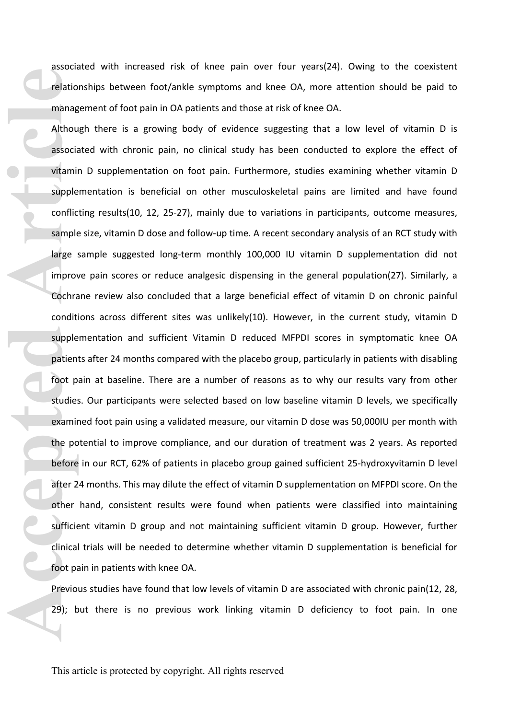associated with increased risk of knee pain over four years(24). Owing to the coexistent relationships between foot/ankle symptoms and knee OA, more attention should be paid to management of foot pain in OA patients and those at risk of knee OA.

Although there is a growing body of evidence suggesting that a low level of vitamin D is associated with chronic pain, no clinical study has been conducted to explore the effect of vitamin D supplementation on foot pain. Furthermore, studies examining whether vitamin D supplementation is beneficial on other musculoskeletal pains are limited and have found conflicting results(10, 12, 25-27), mainly due to variations in participants, outcome measures, sample size, vitamin D dose and follow-up time. A recent secondary analysis of an RCT study with large sample suggested long-term monthly 100,000 IU vitamin D supplementation did not improve pain scores or reduce analgesic dispensing in the general population(27). Similarly, a Cochrane review also concluded that a large beneficial effect of vitamin D on chronic painful conditions across different sites was unlikely(10). However, in the current study, vitamin D supplementation and sufficient Vitamin D reduced MFPDI scores in symptomatic knee OA patients after 24 months compared with the placebo group, particularly in patients with disabling foot pain at baseline. There are a number of reasons as to why our results vary from other studies. Our participants were selected based on low baseline vitamin D levels, we specifically examined foot pain using a validated measure, our vitamin D dose was 50,000IU per month with the potential to improve compliance, and our duration of treatment was 2 years. As reported before in our RCT, 62% of patients in placebo group gained sufficient 25-hydroxyvitamin D level after 24 months. This may dilute the effect of vitamin D supplementation on MFPDI score. On the other hand, consistent results were found when patients were classified into maintaining sufficient vitamin D group and not maintaining sufficient vitamin D group. However, further clinical trials will be needed to determine whether vitamin D supplementation is beneficial for foot pain in patients with knee OA. **Prediction manager Althout associal vitamin**<br> **Althout associal vitamin**<br>
supple conflic<br>
sample large :<br>
improve Cochra condition<br>
supple patiem<br>
foot p<br>
studie:<br>
examin<br>
the po<br>
before<br>
after 2<br>
other<br>
sufficie<br>
clinica

Previous studies have found that low levels of vitamin D are associated with chronic pain(12, 28, 29); but there is no previous work linking vitamin D deficiency to foot pain. In one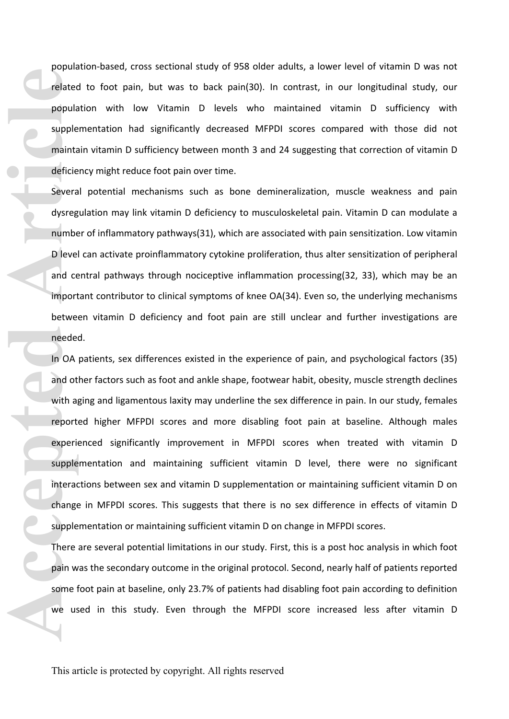population-based, cross sectional study of 958 older adults, a lower level of vitamin D was not related to foot pain, but was to back pain(30). In contrast, in our longitudinal study, our population with low Vitamin D levels who maintained vitamin D sufficiency with supplementation had significantly decreased MFPDI scores compared with those did not maintain vitamin D sufficiency between month 3 and 24 suggesting that correction of vitamin D deficiency might reduce foot pain over time.

Several potential mechanisms such as bone demineralization, muscle weakness and pain dysregulation may link vitamin D deficiency to musculoskeletal pain. Vitamin D can modulate a number of inflammatory pathways(31), which are associated with pain sensitization. Low vitamin D level can activate proinflammatory cytokine proliferation, thus alter sensitization of peripheral and central pathways through nociceptive inflammation processing(32, 33), which may be an important contributor to clinical symptoms of knee OA(34). Even so, the underlying mechanisms between vitamin D deficiency and foot pain are still unclear and further investigations are needed.

In OA patients, sex differences existed in the experience of pain, and psychological factors (35) and other factors such as foot and ankle shape, footwear habit, obesity, muscle strength declines with aging and ligamentous laxity may underline the sex difference in pain. In our study, females reported higher MFPDI scores and more disabling foot pain at baseline. Although males experienced significantly improvement in MFPDI scores when treated with vitamin D supplementation and maintaining sufficient vitamin D level, there were no significant interactions between sex and vitamin D supplementation or maintaining sufficient vitamin D on change in MFPDI scores. This suggests that there is no sex difference in effects of vitamin D supplementation or maintaining sufficient vitamin D on change in MFPDI scores. **Prediction Controllers and Controllers and Controllers and Controllers and Controllers and Controllers and Controllers and Controllers and Controllers and Controllers and Controllers and Controllers and Controllers and Co** 

There are several potential limitations in our study. First, this is a post hoc analysis in which foot pain was the secondary outcome in the original protocol. Second, nearly half of patients reported some foot pain at baseline, only 23.7% of patients had disabling foot pain according to definition we used in this study. Even through the MFPDI score increased less after vitamin D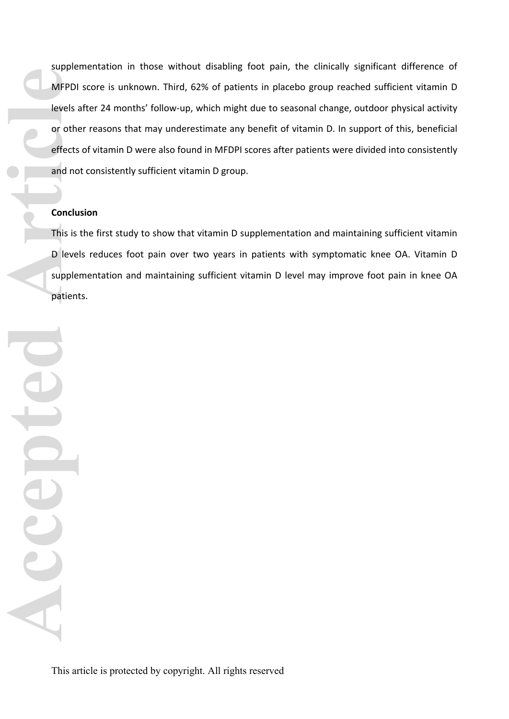supplementation in those without disabling foot pain, the clinically significant difference of MFPDI score is unknown. Third, 62% of patients in placebo group reached sufficient vitamin D levels after 24 months' follow-up, which might due to seasonal change, outdoor physical activity or other reasons that may underestimate any benefit of vitamin D. In support of this, beneficial effects of vitamin D were also found in MFDPI scores after patients were divided into consistently and not consistently sufficient vitamin D group.

## **Conclusion**

This is the first study to show that vitamin D supplementation and maintaining sufficient vitamin D levels reduces foot pain over two years in patients with symptomatic knee OA. Vitamin D supplementation and maintaining sufficient vitamin D level may improve foot pain in knee OA patients.

MFPDI<br>
Levels<br> **Conclu**<br>
This is<br>
D leve<br>
patien<br>
D Level patien<br>
D Level patien<br>
D Level patien<br>
D Level patien<br>
D Level patien<br>
D Level patien<br>
D Level patien<br>
D Level patien<br>
D Level patien<br>
D Level patien<br>
D Level pati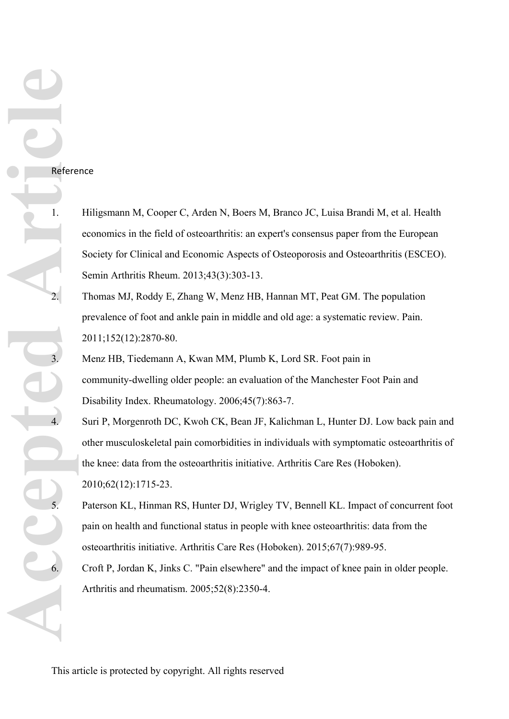## Reference

- 1. Hiligsmann M, Cooper C, Arden N, Boers M, Branco JC, Luisa Brandi M, et al. Health economics in the field of osteoarthritis: an expert's consensus paper from the European Society for Clinical and Economic Aspects of Osteoporosis and Osteoarthritis (ESCEO). Semin Arthritis Rheum. 2013;43(3):303-13.
- 2. Thomas MJ, Roddy E, Zhang W, Menz HB, Hannan MT, Peat GM. The population prevalence of foot and ankle pain in middle and old age: a systematic review. Pain. 2011;152(12):2870-80.
	- 3. Menz HB, Tiedemann A, Kwan MM, Plumb K, Lord SR. Foot pain in community-dwelling older people: an evaluation of the Manchester Foot Pain and Disability Index. Rheumatology. 2006;45(7):863-7.
	- Suri P, Morgenroth DC, Kwoh CK, Bean JF, Kalichman L, Hunter DJ. Low back pain and other musculoskeletal pain comorbidities in individuals with symptomatic osteoarthritis of the knee: data from the osteoarthritis initiative. Arthritis Care Res (Hoboken). 2010;62(12):1715-23.
	- 5. Paterson KL, Hinman RS, Hunter DJ, Wrigley TV, Bennell KL. Impact of concurrent foot pain on health and functional status in people with knee osteoarthritis: data from the osteoarthritis initiative. Arthritis Care Res (Hoboken). 2015;67(7):989-95.
	- 6. Croft P, Jordan K, Jinks C. "Pain elsewhere" and the impact of knee pain in older people. Arthritis and rheumatism. 2005;52(8):2350-4.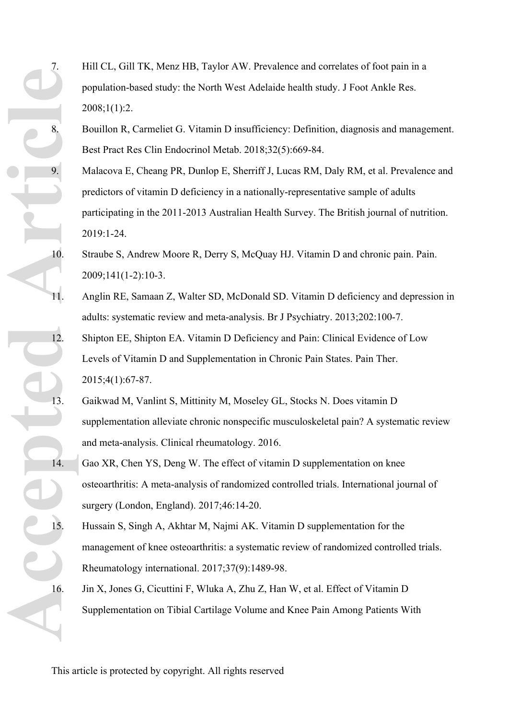7. Hill CL, Gill TK, Menz HB, Taylor AW. Prevalence and correlates of foot pain in a population-based study: the North West Adelaide health study. J Foot Ankle Res.  $2008;1(1):2$ .

- 8. Bouillon R, Carmeliet G. Vitamin D insufficiency: Definition, diagnosis and management. Best Pract Res Clin Endocrinol Metab. 2018;32(5):669-84.
- Malacova E, Cheang PR, Dunlop E, Sherriff J, Lucas RM, Daly RM, et al. Prevalence and predictors of vitamin D deficiency in a nationally-representative sample of adults participating in the 2011-2013 Australian Health Survey. The British journal of nutrition. 2019:1-24.
- 10. Straube S, Andrew Moore R, Derry S, McQuay HJ. Vitamin D and chronic pain. Pain. 2009;141(1-2):10-3.
- 11. Anglin RE, Samaan Z, Walter SD, McDonald SD. Vitamin D deficiency and depression in adults: systematic review and meta-analysis. Br J Psychiatry. 2013;202:100-7.
- 12. Shipton EE, Shipton EA. Vitamin D Deficiency and Pain: Clinical Evidence of Low Levels of Vitamin D and Supplementation in Chronic Pain States. Pain Ther. 2015;4(1):67-87.
- 13. Gaikwad M, Vanlint S, Mittinity M, Moseley GL, Stocks N. Does vitamin D supplementation alleviate chronic nonspecific musculoskeletal pain? A systematic review and meta-analysis. Clinical rheumatology. 2016.
- 14. Gao XR, Chen YS, Deng W. The effect of vitamin D supplementation on knee osteoarthritis: A meta-analysis of randomized controlled trials. International journal of surgery (London, England). 2017;46:14-20.
- 15. Hussain S, Singh A, Akhtar M, Najmi AK. Vitamin D supplementation for the management of knee osteoarthritis: a systematic review of randomized controlled trials. Rheumatology international. 2017;37(9):1489-98.
- 16. Jin X, Jones G, Cicuttini F, Wluka A, Zhu Z, Han W, et al. Effect of Vitamin D Supplementation on Tibial Cartilage Volume and Knee Pain Among Patients With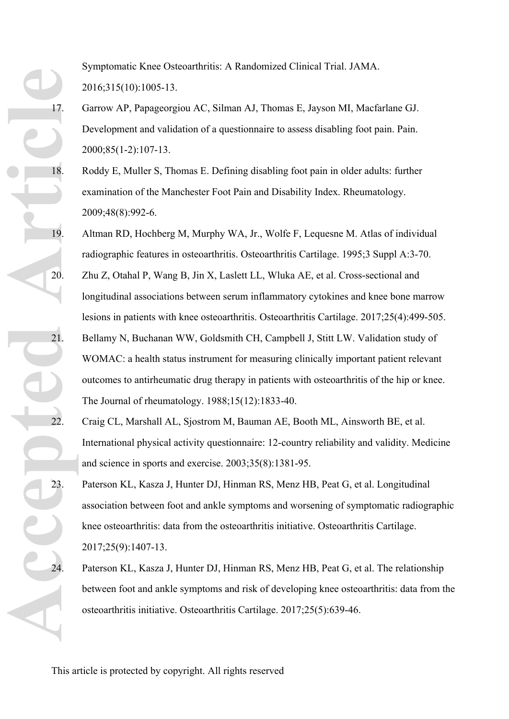Symptomatic Knee Osteoarthritis: A Randomized Clinical Trial. JAMA. 2016;315(10):1005-13.

- 17. Garrow AP, Papageorgiou AC, Silman AJ, Thomas E, Jayson MI, Macfarlane GJ. Development and validation of a questionnaire to assess disabling foot pain. Pain. 2000;85(1-2):107-13.
- 18. Roddy E, Muller S, Thomas E. Defining disabling foot pain in older adults: further examination of the Manchester Foot Pain and Disability Index. Rheumatology. 2009;48(8):992-6.
- 19. Altman RD, Hochberg M, Murphy WA, Jr., Wolfe F, Lequesne M. Atlas of individual radiographic features in osteoarthritis. Osteoarthritis Cartilage. 1995;3 Suppl A:3-70.
- 20. Zhu Z, Otahal P, Wang B, Jin X, Laslett LL, Wluka AE, et al. Cross-sectional and longitudinal associations between serum inflammatory cytokines and knee bone marrow lesions in patients with knee osteoarthritis. Osteoarthritis Cartilage. 2017;25(4):499-505. 21. Bellamy N, Buchanan WW, Goldsmith CH, Campbell J, Stitt LW. Validation study of WOMAC: a health status instrument for measuring clinically important patient relevant outcomes to antirheumatic drug therapy in patients with osteoarthritis of the hip or knee. The Journal of rheumatology. 1988;15(12):1833-40.
- 22. Craig CL, Marshall AL, Sjostrom M, Bauman AE, Booth ML, Ainsworth BE, et al. International physical activity questionnaire: 12-country reliability and validity. Medicine and science in sports and exercise. 2003;35(8):1381-95.
- 23. Paterson KL, Kasza J, Hunter DJ, Hinman RS, Menz HB, Peat G, et al. Longitudinal association between foot and ankle symptoms and worsening of symptomatic radiographic knee osteoarthritis: data from the osteoarthritis initiative. Osteoarthritis Cartilage. 2017;25(9):1407-13.
	- Paterson KL, Kasza J, Hunter DJ, Hinman RS, Menz HB, Peat G, et al. The relationship between foot and ankle symptoms and risk of developing knee osteoarthritis: data from the osteoarthritis initiative. Osteoarthritis Cartilage. 2017;25(5):639-46.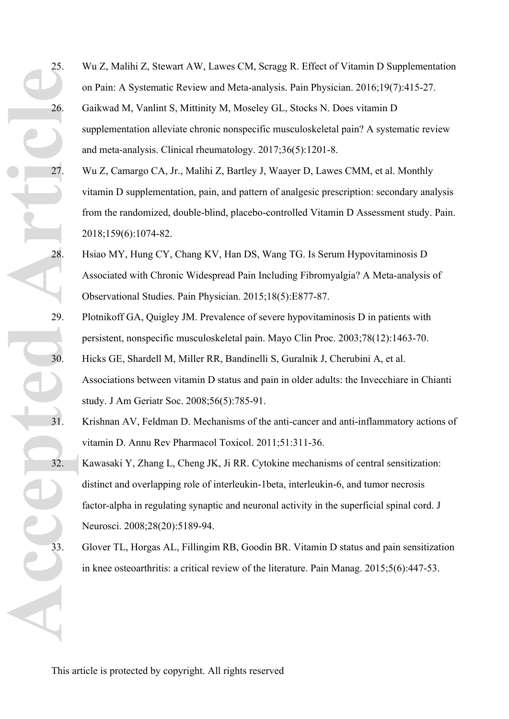25. Wu Z, Malihi Z, Stewart AW, Lawes CM, Scragg R. Effect of Vitamin D Supplementation on Pain: A Systematic Review and Meta-analysis. Pain Physician. 2016;19(7):415-27. 26. Gaikwad M, Vanlint S, Mittinity M, Moseley GL, Stocks N. Does vitamin D supplementation alleviate chronic nonspecific musculoskeletal pain? A systematic review and meta-analysis. Clinical rheumatology. 2017;36(5):1201-8.

- 27. Wu Z, Camargo CA, Jr., Malihi Z, Bartley J, Waayer D, Lawes CMM, et al. Monthly vitamin D supplementation, pain, and pattern of analgesic prescription: secondary analysis from the randomized, double-blind, placebo-controlled Vitamin D Assessment study. Pain. 2018;159(6):1074-82.
- 28. Hsiao MY, Hung CY, Chang KV, Han DS, Wang TG. Is Serum Hypovitaminosis D Associated with Chronic Widespread Pain Including Fibromyalgia? A Meta-analysis of Observational Studies. Pain Physician. 2015;18(5):E877-87.
- 29. Plotnikoff GA, Quigley JM. Prevalence of severe hypovitaminosis D in patients with persistent, nonspecific musculoskeletal pain. Mayo Clin Proc. 2003;78(12):1463-70.
- 30. Hicks GE, Shardell M, Miller RR, Bandinelli S, Guralnik J, Cherubini A, et al. Associations between vitamin D status and pain in older adults: the Invecchiare in Chianti study. J Am Geriatr Soc. 2008;56(5):785-91.
- 31. Krishnan AV, Feldman D. Mechanisms of the anti-cancer and anti-inflammatory actions of vitamin D. Annu Rev Pharmacol Toxicol. 2011;51:311-36.
- 32. Kawasaki Y, Zhang L, Cheng JK, Ji RR. Cytokine mechanisms of central sensitization: distinct and overlapping role of interleukin-1beta, interleukin-6, and tumor necrosis factor-alpha in regulating synaptic and neuronal activity in the superficial spinal cord. J Neurosci. 2008;28(20):5189-94.
- 33. Glover TL, Horgas AL, Fillingim RB, Goodin BR. Vitamin D status and pain sensitization in knee osteoarthritis: a critical review of the literature. Pain Manag. 2015;5(6):447-53.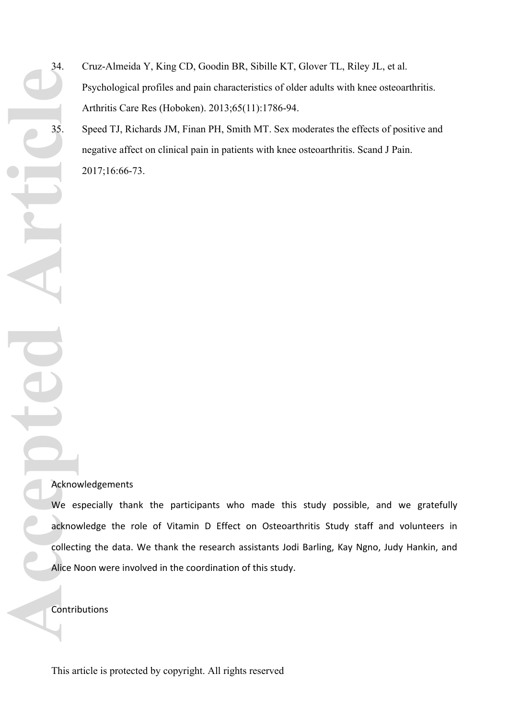- 34. Cruz-Almeida Y, King CD, Goodin BR, Sibille KT, Glover TL, Riley JL, et al. Psychological profiles and pain characteristics of older adults with knee osteoarthritis. Arthritis Care Res (Hoboken). 2013;65(11):1786-94.
- 35. Speed TJ, Richards JM, Finan PH, Smith MT. Sex moderates the effects of positive and negative affect on clinical pain in patients with knee osteoarthritis. Scand J Pain. 2017;16:66-73.

## Acknowledgements

We especially thank the participants who made this study possible, and we gratefully acknowledge the role of Vitamin D Effect on Osteoarthritis Study staff and volunteers in collecting the data. We thank the research assistants Jodi Barling, Kay Ngno, Judy Hankin, and Alice Noon were involved in the coordination of this study.

Contributions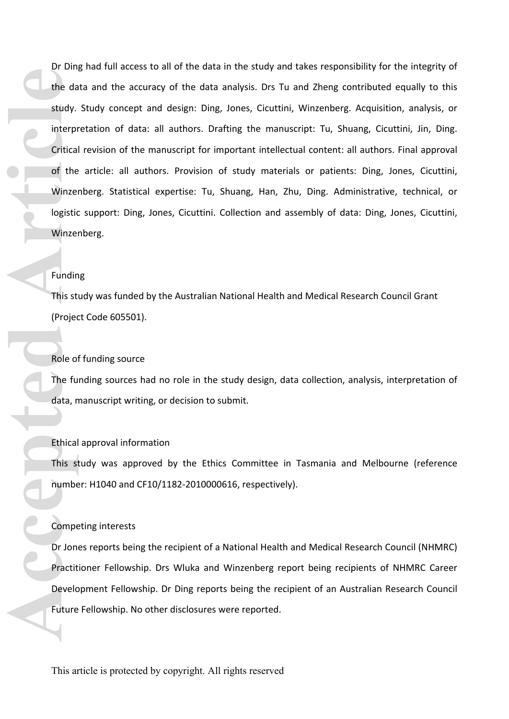Dr Ding had full access to all of the data in the study and takes responsibility for the integrity of the data and the accuracy of the data analysis. Drs Tu and Zheng contributed equally to this study. Study concept and design: Ding, Jones, Cicuttini, Winzenberg. Acquisition, analysis, or interpretation of data: all authors. Drafting the manuscript: Tu, Shuang, Cicuttini, Jin, Ding. Critical revision of the manuscript for important intellectual content: all authors. Final approval of the article: all authors. Provision of study materials or patients: Ding, Jones, Cicuttini, Winzenberg. Statistical expertise: Tu, Shuang, Han, Zhu, Ding. Administrative, technical, or logistic support: Ding, Jones, Cicuttini. Collection and assembly of data: Ding, Jones, Cicuttini, Winzenberg. **Example 18 This st (Projection Article 18 This st (Projection Article 18 This st (Projection Article 18 This st (Projection Article 18 This st number Compe Dr Jon Practit Development Current Current Current Current Curren** 

### Funding

This study was funded by the Australian National Health and Medical Research Council Grant (Project Code 605501).

### Role of funding source

The funding sources had no role in the study design, data collection, analysis, interpretation of data, manuscript writing, or decision to submit.

#### Ethical approval information

This study was approved by the Ethics Committee in Tasmania and Melbourne (reference number: H1040 and CF10/1182-2010000616, respectively).

## Competing interests

Dr Jones reports being the recipient of a National Health and Medical Research Council (NHMRC) Practitioner Fellowship. Drs Wluka and Winzenberg report being recipients of NHMRC Career Development Fellowship. Dr Ding reports being the recipient of an Australian Research Council Future Fellowship. No other disclosures were reported.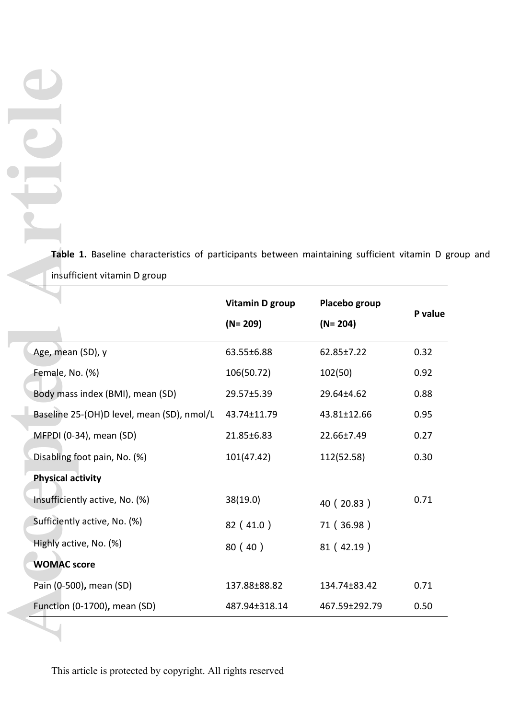**Table 1.** Baseline characteristics of participants between maintaining sufficient vitamin D group and insufficient vitamin D group

| Table 1. Baseline characteristics of participants between maintaining sufficient vitamin D g |                        |                  |         |
|----------------------------------------------------------------------------------------------|------------------------|------------------|---------|
| insufficient vitamin D group                                                                 | <b>Vitamin D group</b> | Placebo group    | P value |
|                                                                                              | $(N = 209)$            | $(N = 204)$      |         |
| Age, mean (SD), y                                                                            | 63.55±6.88             | $62.85 \pm 7.22$ | 0.32    |
| Female, No. (%)                                                                              | 106(50.72)             | 102(50)          | 0.92    |
| Body mass index (BMI), mean (SD)                                                             | 29.57±5.39             | 29.64±4.62       | 0.88    |
| Baseline 25-(OH)D level, mean (SD), nmol/L                                                   | 43.74±11.79            | 43.81±12.66      | 0.95    |
| MFPDI (0-34), mean (SD)                                                                      | 21.85±6.83             | 22.66±7.49       | 0.27    |
| Disabling foot pain, No. (%)                                                                 | 101(47.42)             | 112(52.58)       | 0.30    |
| <b>Physical activity</b>                                                                     |                        |                  |         |
| Insufficiently active, No. (%)                                                               | 38(19.0)               | 40 (20.83)       | 0.71    |
| Sufficiently active, No. (%)                                                                 | 82(41.0)               | 71 (36.98)       |         |
| Highly active, No. (%)                                                                       | 80(40)                 | 81 (42.19)       |         |
| <b>WOMAC</b> score                                                                           |                        |                  |         |
|                                                                                              |                        |                  |         |
| Pain (0-500), mean (SD)                                                                      | 137.88±88.82           | 134.74±83.42     | 0.71    |

This article is protected by copyright. All rights reserved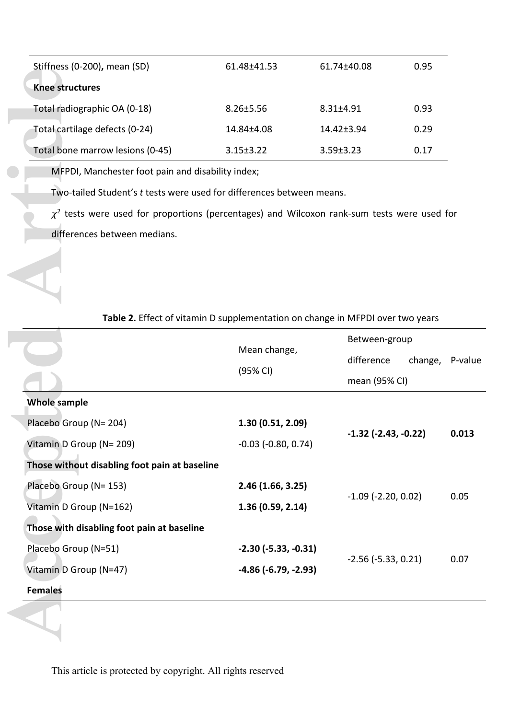| Stiffness (0-200), mean (SD)     | 61.48±41.53     | 61.74±40.08     | 0.95 |
|----------------------------------|-----------------|-----------------|------|
| Knee structures                  |                 |                 |      |
| Total radiographic OA (0-18)     | $8.26 \pm 5.56$ | $8.31 + 4.91$   | 0.93 |
| Total cartilage defects (0-24)   | 14.84±4.08      | $14.42 + 3.94$  | 0.29 |
| Total bone marrow lesions (0-45) | $3.15 \pm 3.22$ | $3.59 \pm 3.23$ | 0.17 |

| <b>Knee structures</b>                                                                                                                                                                             |                                                                                |                               |                 |                       |
|----------------------------------------------------------------------------------------------------------------------------------------------------------------------------------------------------|--------------------------------------------------------------------------------|-------------------------------|-----------------|-----------------------|
| Total radiographic OA (0-18)                                                                                                                                                                       | $8.26 \pm 5.56$                                                                | $8.31 \pm 4.91$               | 0.93            |                       |
| Total cartilage defects (0-24)                                                                                                                                                                     | 14.84±4.08                                                                     | 14.42±3.94                    | 0.29            |                       |
| Total bone marrow lesions (0-45)                                                                                                                                                                   | $3.15 \pm 3.22$                                                                | $3.59 \pm 3.23$               | 0.17            |                       |
| MFPDI, Manchester foot pain and disability index;                                                                                                                                                  |                                                                                |                               |                 |                       |
| Two-tailed Student's t tests were used for differences between means.                                                                                                                              |                                                                                |                               |                 |                       |
| $\chi^2$ tests were used for proportions (percentages) and Wilcoxon rank-sum tests were used for                                                                                                   |                                                                                |                               |                 |                       |
| differences between medians.                                                                                                                                                                       |                                                                                |                               |                 |                       |
|                                                                                                                                                                                                    |                                                                                |                               |                 |                       |
|                                                                                                                                                                                                    |                                                                                |                               |                 |                       |
|                                                                                                                                                                                                    |                                                                                |                               |                 |                       |
|                                                                                                                                                                                                    |                                                                                |                               |                 |                       |
|                                                                                                                                                                                                    | Table 2. Effect of vitamin D supplementation on change in MFPDI over two years |                               |                 |                       |
|                                                                                                                                                                                                    |                                                                                | Between-group                 |                 |                       |
|                                                                                                                                                                                                    | Mean change,                                                                   |                               |                 |                       |
|                                                                                                                                                                                                    | (95% CI)                                                                       | difference                    | change, P-value |                       |
|                                                                                                                                                                                                    |                                                                                | mean (95% CI)                 |                 |                       |
| <b>Whole sample</b>                                                                                                                                                                                |                                                                                |                               |                 |                       |
|                                                                                                                                                                                                    | 1.30(0.51, 2.09)                                                               |                               |                 |                       |
| Placebo Group (N= 204)<br>Vitamin D Group (N= 209)                                                                                                                                                 | $-0.03$ ( $-0.80$ , $0.74$ )                                                   | $-1.32$ ( $-2.43$ , $-0.22$ ) |                 |                       |
|                                                                                                                                                                                                    |                                                                                |                               |                 |                       |
|                                                                                                                                                                                                    | 2.46 (1.66, 3.25)                                                              |                               |                 |                       |
|                                                                                                                                                                                                    | 1.36(0.59, 2.14)                                                               | $-1.09$ ( $-2.20$ , 0.02)     |                 |                       |
|                                                                                                                                                                                                    |                                                                                |                               |                 |                       |
|                                                                                                                                                                                                    | $-2.30$ ( $-5.33$ , $-0.31$ )                                                  |                               |                 |                       |
| Those without disabling foot pain at baseline<br>Placebo Group (N= 153)<br>Vitamin D Group (N=162)<br>Those with disabling foot pain at baseline<br>Placebo Group (N=51)<br>Vitamin D Group (N=47) | $-4.86$ ( $-6.79$ , $-2.93$ )                                                  | $-2.56$ $(-5.33, 0.21)$       |                 | 0.013<br>0.05<br>0.07 |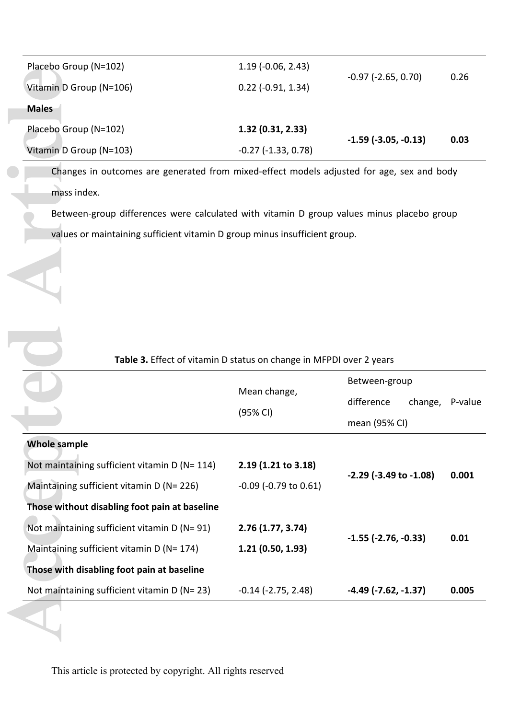| Placebo Group (N=102)   | $1.19(-0.06, 2.43)$      | $-0.97$ ( $-2.65$ , 0.70)     | 0.26 |
|-------------------------|--------------------------|-------------------------------|------|
| Vitamin D Group (N=106) | $0.22$ ( $-0.91$ , 1.34) |                               |      |
| <b>Males</b>            |                          |                               |      |
| Placebo Group (N=102)   | 1.32(0.31, 2.33)         | $-1.59$ ( $-3.05$ , $-0.13$ ) |      |
| Vitamin D Group (N=103) | $-0.27$ $(-1.33, 0.78)$  |                               | 0.03 |

|                                                                                           |                               |                               | 0.26            |
|-------------------------------------------------------------------------------------------|-------------------------------|-------------------------------|-----------------|
| Vitamin D Group (N=106)                                                                   | $0.22$ (-0.91, 1.34)          | $-0.97$ $(-2.65, 0.70)$       |                 |
| <b>Males</b>                                                                              |                               |                               |                 |
| Placebo Group (N=102)                                                                     | 1.32(0.31, 2.33)              |                               |                 |
| Vitamin D Group (N=103)                                                                   | $-0.27$ $(-1.33, 0.78)$       | $-1.59$ ( $-3.05$ , $-0.13$ ) | 0.03            |
| Changes in outcomes are generated from mixed-effect models adjusted for age, sex and body |                               |                               |                 |
| mass index.                                                                               |                               |                               |                 |
| Between-group differences were calculated with vitamin D group values minus placebo group |                               |                               |                 |
| values or maintaining sufficient vitamin D group minus insufficient group.                |                               |                               |                 |
|                                                                                           |                               |                               |                 |
|                                                                                           |                               |                               |                 |
|                                                                                           |                               |                               |                 |
|                                                                                           |                               |                               |                 |
|                                                                                           |                               |                               |                 |
|                                                                                           |                               |                               |                 |
|                                                                                           |                               |                               |                 |
| Table 3. Effect of vitamin D status on change in MFPDI over 2 years                       |                               |                               |                 |
|                                                                                           |                               | Between-group                 |                 |
|                                                                                           | Mean change,                  | difference                    | change, P-value |
|                                                                                           | (95% CI)                      | mean (95% CI)                 |                 |
| <b>Whole sample</b>                                                                       |                               |                               |                 |
| Not maintaining sufficient vitamin D (N= 114)                                             | 2.19 (1.21 to 3.18)           |                               |                 |
| Maintaining sufficient vitamin D (N= 226)                                                 | $-0.09$ ( $-0.79$ to $0.61$ ) | -2.29 (-3.49 to -1.08)        | 0.001           |
| Those without disabling foot pain at baseline                                             |                               |                               |                 |
| Not maintaining sufficient vitamin D (N= 91)                                              | 2.76(1.77, 3.74)              |                               |                 |
| Maintaining sufficient vitamin D (N= 174)                                                 | 1.21(0.50, 1.93)              | $-1.55$ $(-2.76, -0.33)$      | 0.01            |
| Those with disabling foot pain at baseline                                                |                               |                               |                 |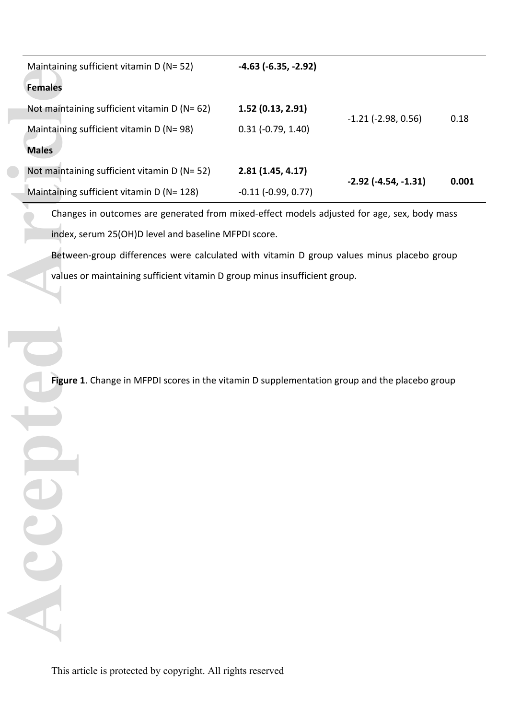| Maintaining sufficient vitamin D (N= 52)                                                      | $-4.63$ ( $-6.35$ , $-2.92$ ) |                               |       |
|-----------------------------------------------------------------------------------------------|-------------------------------|-------------------------------|-------|
| <b>Females</b>                                                                                |                               |                               |       |
| Not maintaining sufficient vitamin D (N= 62)                                                  | 1.52(0.13, 2.91)              |                               | 0.18  |
| Maintaining sufficient vitamin D (N= 98)                                                      | $0.31 (-0.79, 1.40)$          | $-1.21$ ( $-2.98$ , 0.56)     |       |
| <b>Males</b>                                                                                  |                               |                               |       |
| Not maintaining sufficient vitamin D (N= 52)                                                  | 2.81(1.45, 4.17)              |                               | 0.001 |
| Maintaining sufficient vitamin D (N= 128)                                                     | $-0.11(-0.99, 0.77)$          | $-2.92$ ( $-4.54$ , $-1.31$ ) |       |
| Changes in outcomes are generated from mixed-effect models adjusted for age, sex, body mass   |                               |                               |       |
| index, serum 25(OH)D level and baseline MFPDI score.                                          |                               |                               |       |
| Between-group differences were calculated with vitamin D group values minus placebo group     |                               |                               |       |
| values or maintaining sufficient vitamin D group minus insufficient group.                    |                               |                               |       |
| Figure 1. Change in MFPDI scores in the vitamin D supplementation group and the placebo group |                               |                               |       |
|                                                                                               |                               |                               |       |
|                                                                                               |                               |                               |       |
|                                                                                               |                               |                               |       |
|                                                                                               |                               |                               |       |

This article is protected by copyright. All rights reserved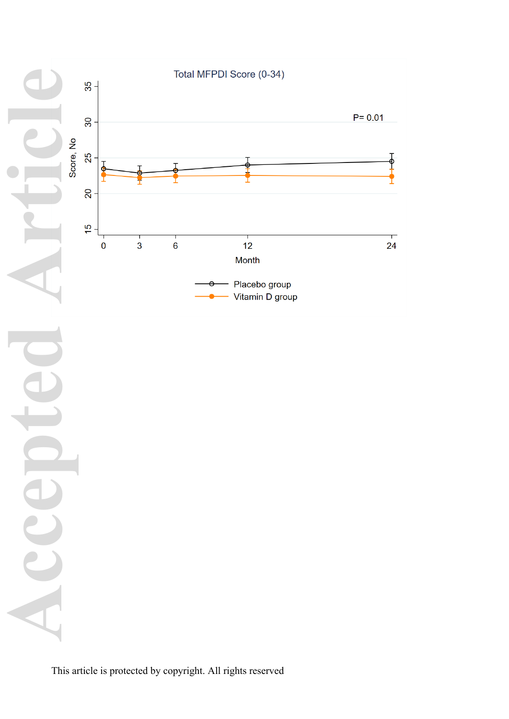